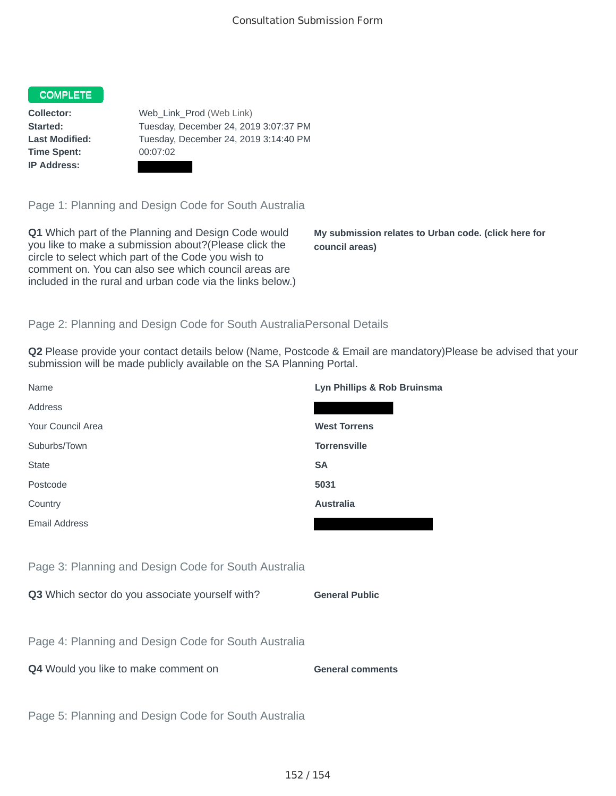#### COMPLETE

**Time Spent:** 00:07:02 **IP Address:**

**Collector:** Web Link Prod (Web Link) **Started:** Tuesday, December 24, 2019 3:07:37 PM **Last Modified:** Tuesday, December 24, 2019 3:14:40 PM

Page 1: Planning and Design Code for South Australia

**Q1** Which part of the Planning and Design Code would you like to make a submission about?(Please click the circle to select which part of the Code you wish to comment on. You can also see which council areas are included in the rural and urban code via the links below.)

**My submission relates to Urban code. (click here for council areas)**

#### Page 2: Planning and Design Code for South AustraliaPersonal Details

**Q2** Please provide your contact details below (Name, Postcode & Email are mandatory)Please be advised that your submission will be made publicly available on the SA Planning Portal.

| Name                                                 | Lyn Phillips & Rob Bruinsma |
|------------------------------------------------------|-----------------------------|
| Address                                              |                             |
| Your Council Area                                    | <b>West Torrens</b>         |
| Suburbs/Town                                         | <b>Torrensville</b>         |
| <b>State</b>                                         | <b>SA</b>                   |
| Postcode                                             | 5031                        |
| Country                                              | <b>Australia</b>            |
| Email Address                                        |                             |
|                                                      |                             |
| Page 3: Planning and Design Code for South Australia |                             |
| Q3 Which sector do you associate yourself with?      | <b>General Public</b>       |
|                                                      |                             |
| Page 4: Planning and Design Code for South Australia |                             |
| Q4 Would you like to make comment on                 | <b>General comments</b>     |

Page 5: Planning and Design Code for South Australia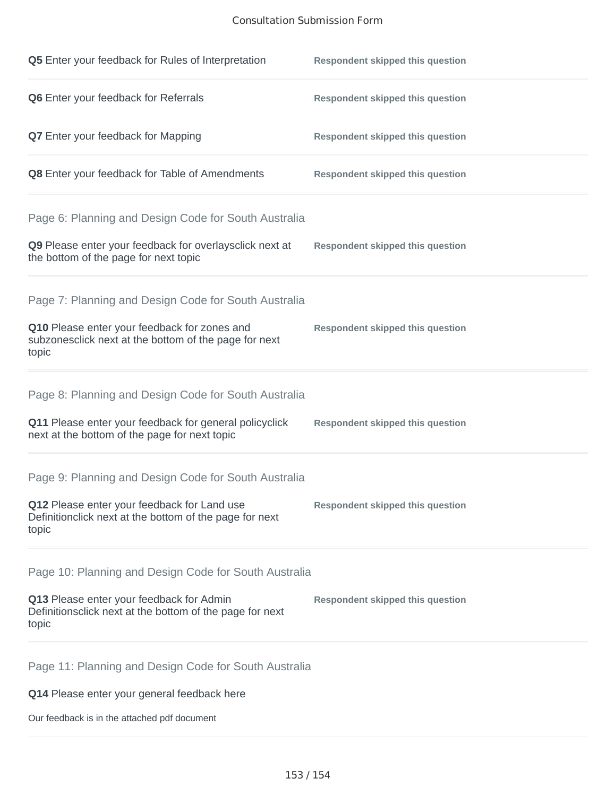#### Consultation Submission Form

| Q5 Enter your feedback for Rules of Interpretation                                                                                                                      | <b>Respondent skipped this question</b> |
|-------------------------------------------------------------------------------------------------------------------------------------------------------------------------|-----------------------------------------|
| Q6 Enter your feedback for Referrals                                                                                                                                    | <b>Respondent skipped this question</b> |
| Q7 Enter your feedback for Mapping                                                                                                                                      | <b>Respondent skipped this question</b> |
| Q8 Enter your feedback for Table of Amendments                                                                                                                          | <b>Respondent skipped this question</b> |
| Page 6: Planning and Design Code for South Australia<br>Q9 Please enter your feedback for overlaysclick next at<br>the bottom of the page for next topic                | <b>Respondent skipped this question</b> |
| Page 7: Planning and Design Code for South Australia<br>Q10 Please enter your feedback for zones and<br>subzonesclick next at the bottom of the page for next<br>topic  | <b>Respondent skipped this question</b> |
| Page 8: Planning and Design Code for South Australia<br>Q11 Please enter your feedback for general policyclick<br>next at the bottom of the page for next topic         | <b>Respondent skipped this question</b> |
| Page 9: Planning and Design Code for South Australia<br>Q12 Please enter your feedback for Land use<br>Definitionclick next at the bottom of the page for next<br>topic | <b>Respondent skipped this question</b> |
| Page 10: Planning and Design Code for South Australia<br>Q13 Please enter your feedback for Admin<br>Definitionsclick next at the bottom of the page for next<br>topic  | <b>Respondent skipped this question</b> |
| Page 11: Planning and Design Code for South Australia<br>Q14 Please enter your general feedback here                                                                    |                                         |

Our feedback is in the attached pdf document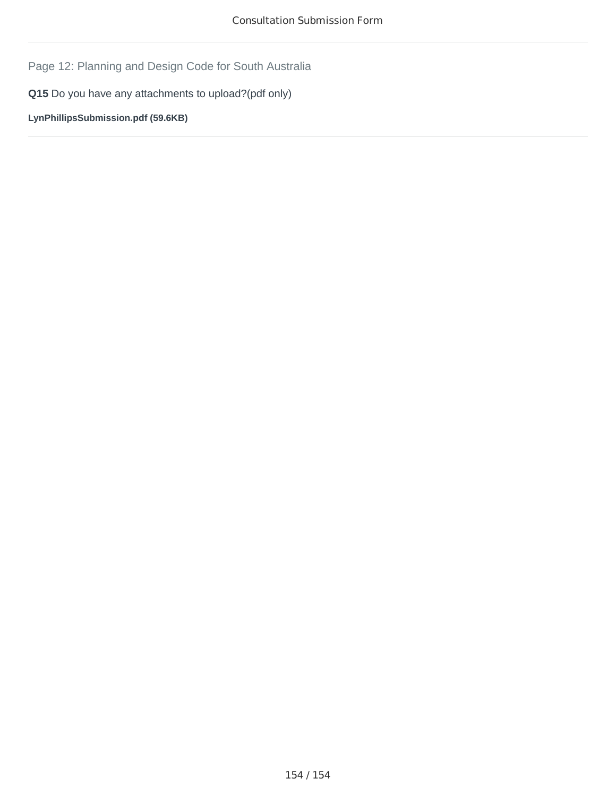Page 12: Planning and Design Code for South Australia

**Q15** Do you have any attachments to upload?(pdf only)

**LynPhillipsSubmission.pdf (59.6KB)**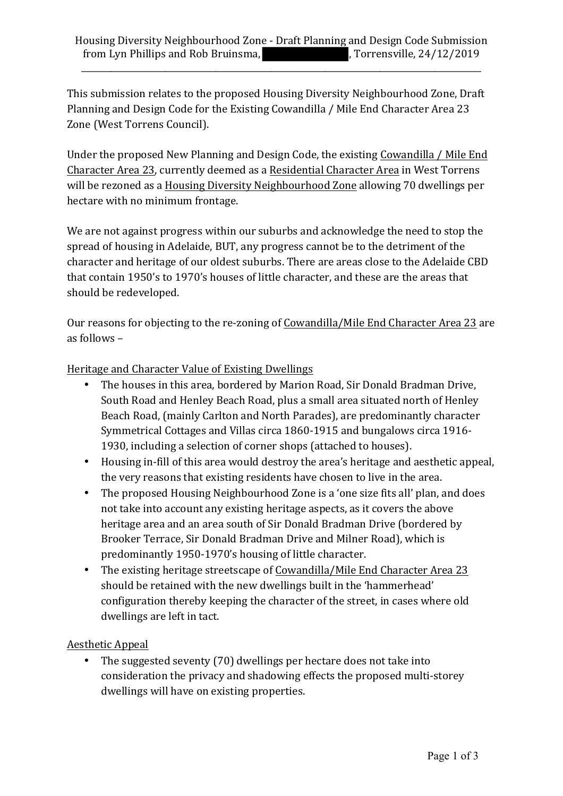\_\_\_\_\_\_\_\_\_\_\_\_\_\_\_\_\_\_\_\_\_\_\_\_\_\_\_\_\_\_\_\_\_\_\_\_\_\_\_\_\_\_\_\_\_\_\_\_\_\_\_\_\_\_\_\_\_\_\_\_\_\_\_\_\_\_\_\_\_\_\_\_\_\_\_\_\_\_\_\_\_\_\_\_\_\_\_\_\_\_\_\_\_\_\_

This submission relates to the proposed Housing Diversity Neighbourhood Zone, Draft Planning and Design Code for the Existing Cowandilla / Mile End Character Area 23 Zone (West Torrens Council).

Under the proposed New Planning and Design Code, the existing Cowandilla / Mile End Character Area 23, currently deemed as a Residential Character Area in West Torrens will be rezoned as a Housing Diversity Neighbourhood Zone allowing 70 dwellings per hectare with no minimum frontage.

We are not against progress within our suburbs and acknowledge the need to stop the spread of housing in Adelaide, BUT, any progress cannot be to the detriment of the character and heritage of our oldest suburbs. There are areas close to the Adelaide CBD that contain 1950's to 1970's houses of little character, and these are the areas that should be redeveloped.

Our reasons for objecting to the re-zoning of Cowandilla/Mile End Character Area 23 are as follows  $-$ 

Heritage and Character Value of Existing Dwellings

- The houses in this area, bordered by Marion Road, Sir Donald Bradman Drive, South Road and Henley Beach Road, plus a small area situated north of Henley Beach Road, (mainly Carlton and North Parades), are predominantly character Symmetrical Cottages and Villas circa 1860-1915 and bungalows circa 1916-1930, including a selection of corner shops (attached to houses).
- Housing in-fill of this area would destroy the area's heritage and aesthetic appeal, the very reasons that existing residents have chosen to live in the area.
- The proposed Housing Neighbourhood Zone is a 'one size fits all' plan, and does not take into account any existing heritage aspects, as it covers the above heritage area and an area south of Sir Donald Bradman Drive (bordered by Brooker Terrace, Sir Donald Bradman Drive and Milner Road), which is predominantly 1950-1970's housing of little character.
- The existing heritage streetscape of Cowandilla/Mile End Character Area 23 should be retained with the new dwellings built in the 'hammerhead' configuration thereby keeping the character of the street, in cases where old dwellings are left in tact.

# Aesthetic Appeal

• The suggested seventy (70) dwellings per hectare does not take into consideration the privacy and shadowing effects the proposed multi-storey dwellings will have on existing properties.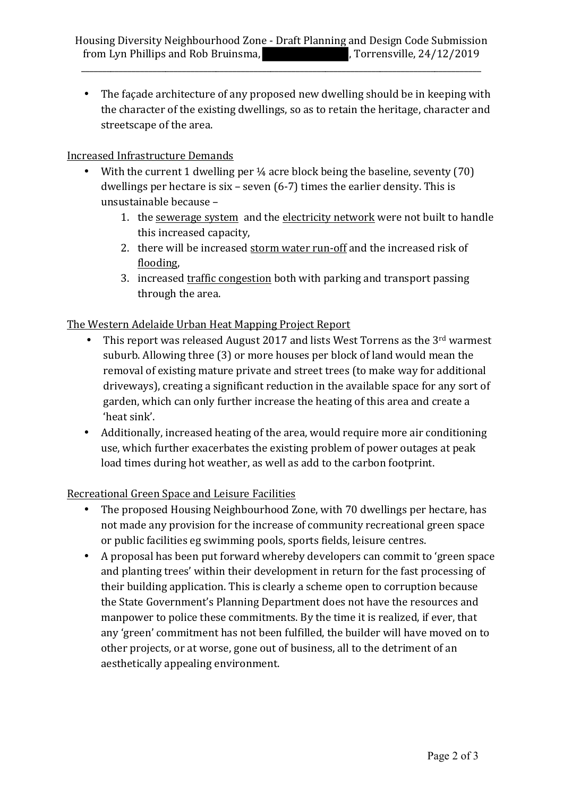\_\_\_\_\_\_\_\_\_\_\_\_\_\_\_\_\_\_\_\_\_\_\_\_\_\_\_\_\_\_\_\_\_\_\_\_\_\_\_\_\_\_\_\_\_\_\_\_\_\_\_\_\_\_\_\_\_\_\_\_\_\_\_\_\_\_\_\_\_\_\_\_\_\_\_\_\_\_\_\_\_\_\_\_\_\_\_\_\_\_\_\_\_\_\_

• The façade architecture of any proposed new dwelling should be in keeping with the character of the existing dwellings, so as to retain the heritage, character and streetscape of the area.

# Increased Infrastructure Demands

- With the current 1 dwelling per  $\frac{1}{4}$  acre block being the baseline, seventy (70) dwellings per hectare is  $six - seven (6-7)$  times the earlier density. This is unsustainable because -
	- 1. the sewerage system and the electricity network were not built to handle this increased capacity,
	- 2. there will be increased storm water run-off and the increased risk of flooding,
	- 3. increased traffic congestion both with parking and transport passing through the area.

# The Western Adelaide Urban Heat Mapping Project Report

- This report was released August 2017 and lists West Torrens as the  $3<sup>rd</sup>$  warmest suburb. Allowing three (3) or more houses per block of land would mean the removal of existing mature private and street trees (to make way for additional driveways), creating a significant reduction in the available space for any sort of garden, which can only further increase the heating of this area and create a 'heat sink'.
- Additionally, increased heating of the area, would require more air conditioning use, which further exacerbates the existing problem of power outages at peak load times during hot weather, as well as add to the carbon footprint.

# Recreational Green Space and Leisure Facilities

- The proposed Housing Neighbourhood Zone, with 70 dwellings per hectare, has not made any provision for the increase of community recreational green space or public facilities eg swimming pools, sports fields, leisure centres.
- A proposal has been put forward whereby developers can commit to 'green space and planting trees' within their development in return for the fast processing of their building application. This is clearly a scheme open to corruption because the State Government's Planning Department does not have the resources and manpower to police these commitments. By the time it is realized, if ever, that any 'green' commitment has not been fulfilled, the builder will have moved on to other projects, or at worse, gone out of business, all to the detriment of an aesthetically appealing environment.